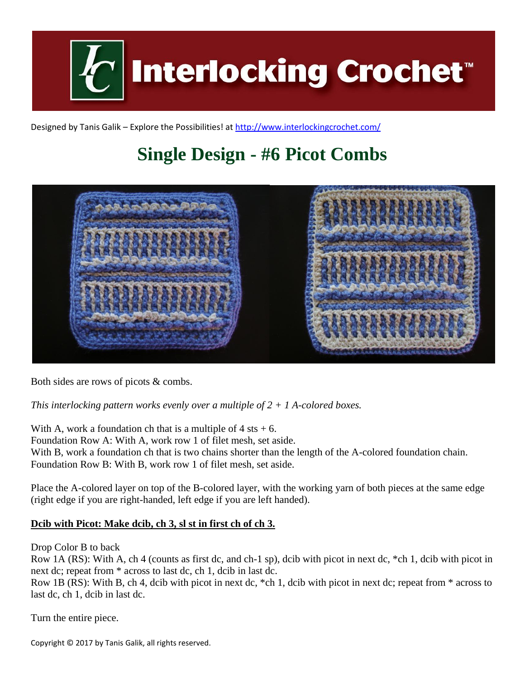

Designed by Tanis Galik – Explore the Possibilities! a[t http://www.interlockingcrochet.com/](http://www.interlockingcrochet.com/)

## **Single Design - #6 Picot Combs**



Both sides are rows of picots & combs.

*This interlocking pattern works evenly over a multiple of 2 + 1 A-colored boxes.*

With A, work a foundation ch that is a multiple of  $4$  sts  $+ 6$ . Foundation Row A: With A, work row 1 of filet mesh, set aside. With B, work a foundation ch that is two chains shorter than the length of the A-colored foundation chain. Foundation Row B: With B, work row 1 of filet mesh, set aside.

Place the A-colored layer on top of the B-colored layer, with the working yarn of both pieces at the same edge (right edge if you are right-handed, left edge if you are left handed).

## **Dcib with Picot: Make dcib, ch 3, sl st in first ch of ch 3.**

Drop Color B to back

Row 1A (RS): With A, ch 4 (counts as first dc, and ch-1 sp), dcib with picot in next dc, \*ch 1, dcib with picot in next dc; repeat from \* across to last dc, ch 1, dcib in last dc.

Row 1B (RS): With B, ch 4, dcib with picot in next dc, \*ch 1, dcib with picot in next dc; repeat from \* across to last dc, ch 1, dcib in last dc.

Turn the entire piece.

Copyright © 2017 by Tanis Galik, all rights reserved.